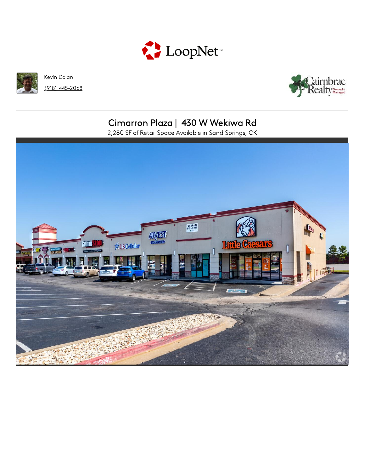



Kevin Dolan  $(918)$  445-2068



# Cimarron Plaza | 430 W Wekiwa Rd

2,280 SF of Retail Space Available in Sand Springs, OK

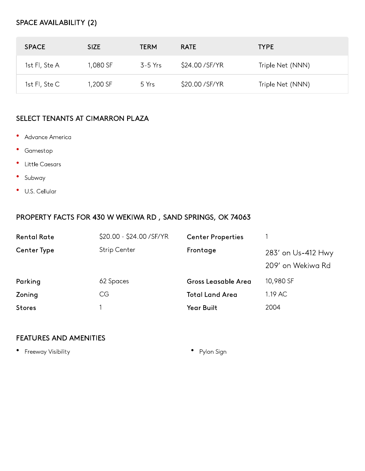#### SPACE AVAILABILITY (2)

| <b>SPACE</b>    | <b>SIZE</b> | <b>TERM</b> | <b>RATE</b>      | <b>TYPE</b>      |
|-----------------|-------------|-------------|------------------|------------------|
| 1st Fl, Ste A   | 1,080 SF    | 3-5 Yrs     | \$24.00/SF/YR    | Triple Net (NNN) |
| 1st FI, $Ste C$ | 1,200 SF    | 5 Yrs       | \$20.00 / SF/ YR | Triple Net (NNN) |

#### SELECT TENANTS AT CIMARRON PLAZA

- $\bullet$ Advance America
- Gamestop
- Little Caesars
- $\bullet$ Subway
- U.S. Cellular

#### PROPERTY FACTS FOR 430 W WEKIWA RD, SAND SPRINGS, OK 74063

| <b>Rental Rate</b> | \$20.00 - \$24.00 / SF/ YR | <b>Center Properties</b>   |                                         |
|--------------------|----------------------------|----------------------------|-----------------------------------------|
| <b>Center Type</b> | <b>Strip Center</b>        | Frontage                   | 283' on Us-412 Hwy<br>209' on Wekiwa Rd |
| Parking            | 62 Spaces                  | <b>Gross Leasable Area</b> | 10,980 SF                               |
| Zoning             | CG                         | <b>Total Land Area</b>     | 1.19 AC                                 |
| <b>Stores</b>      |                            | Year Built                 | 2004                                    |

#### **FEATURES AND AMENITIES**

• Freeway Visibility

• Pylon Sign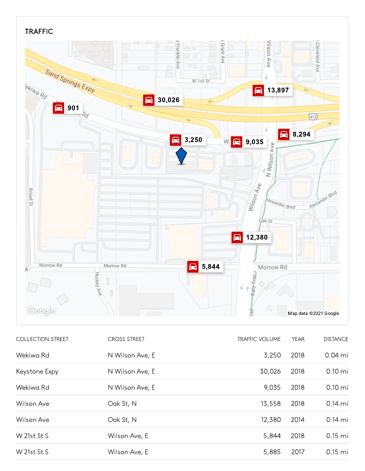

| <b>COLLECTION STREET</b> | <b>CROSS STREET</b> | <b>TRAFFIC VOLUME</b> | <b>YEAR</b> | <b>DISTANCE</b>   |
|--------------------------|---------------------|-----------------------|-------------|-------------------|
| Wekiwa Rd                | N Wilson Ave, E     | 3,250                 | 2018        | $0.04$ mi         |
| Keystone Expy            | N Wilson Ave, E     | 30,026                | 2018        | $0.10 \text{ mi}$ |
| Wekiwa Rd                | N Wilson Ave, E     | 9,035                 | 2018        | $0.10 \text{ mi}$ |
| Wilson Ave               | Oak St, N           | 13,558                | 2018        | $0.14$ mi         |
| Wilson Ave               | Oak St, N           | 12,380                | 2014        | $0.14$ mi         |
| W 21st St S              | Wilson Ave, E       | 5,844                 | 2018        | $0.15$ mi         |
| W 21st St S              | Wilson Ave, E       | 5,885                 | 2017        | $0.15$ mi         |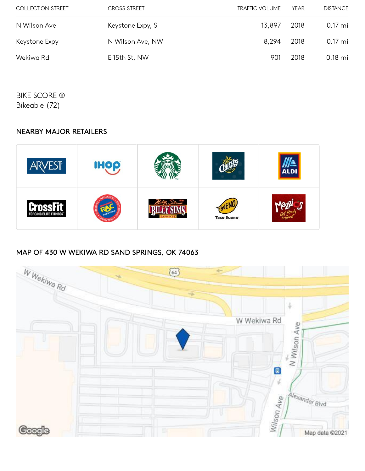| <b>COLLECTION STREET</b> | <b>CROSS STREET</b> | <b>TRAFFIC VOLUME</b> | YFAR | <b>DISTANCE</b>   |
|--------------------------|---------------------|-----------------------|------|-------------------|
| N Wilson Ave             | Keystone Expy, S    | 13,897                | 2018 | $0.17 \text{ mi}$ |
| Keystone Expy            | N Wilson Ave, NW    | 8,294                 | 2018 | $0.17 \text{ mi}$ |
| Wekiwa Rd                | E 15th St, NW       | 901                   | 2018 | $0.18$ mi         |

**BIKE SCORE ®** Bikeable (72)

### **NEARBY MAJOR RETAILERS**



## MAP OF 430 W WEKIWA RD SAND SPRINGS, OK 74063